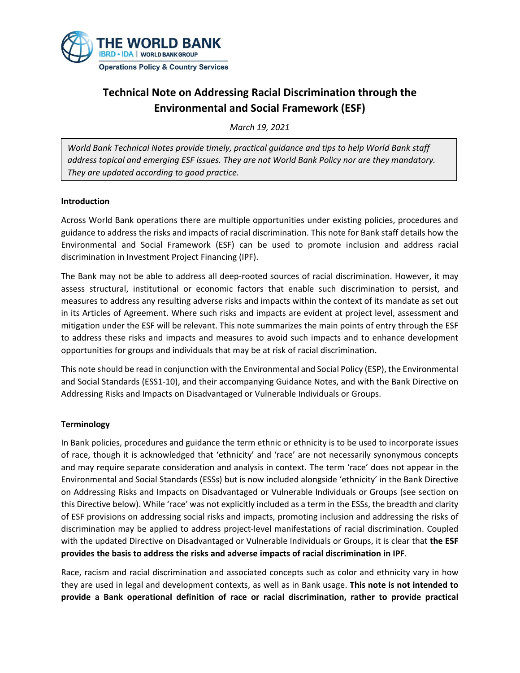

# **Technical Note on Addressing Racial Discrimination through the Environmental and Social Framework (ESF)**

*March 19, 2021*

*World Bank Technical Notes provide timely, practical guidance and tips to help World Bank staff address topical and emerging ESF issues. They are not World Bank Policy nor are they mandatory. They are updated according to good practice.*

#### **Introduction**

Across World Bank operations there are multiple opportunities under existing policies, procedures and guidance to address the risks and impacts of racial discrimination. This note for Bank staff details how the Environmental and Social Framework (ESF) can be used to promote inclusion and address racial discrimination in Investment Project Financing (IPF).

The Bank may not be able to address all deep-rooted sources of racial discrimination. However, it may assess structural, institutional or economic factors that enable such discrimination to persist, and measures to address any resulting adverse risks and impacts within the context of its mandate as set out in its Articles of Agreement. Where such risks and impacts are evident at project level, assessment and mitigation under the ESF will be relevant. This note summarizes the main points of entry through the ESF to address these risks and impacts and measures to avoid such impacts and to enhance development opportunities for groups and individuals that may be at risk of racial discrimination.

This note should be read in conjunction with the Environmental and Social Policy (ESP), the Environmental and Social Standards (ESS1-10), and their accompanying Guidance Notes, and with the Bank Directive on Addressing Risks and Impacts on Disadvantaged or Vulnerable Individuals or Groups.

#### **Terminology**

In Bank policies, procedures and guidance the term ethnic or ethnicity is to be used to incorporate issues of race, though it is acknowledged that 'ethnicity' and 'race' are not necessarily synonymous concepts and may require separate consideration and analysis in context. The term 'race' does not appear in the Environmental and Social Standards (ESSs) but is now included alongside 'ethnicity' in the Bank Directive on Addressing Risks and Impacts on Disadvantaged or Vulnerable Individuals or Groups (see section on this Directive below). While 'race' was not explicitly included as a term in the ESSs, the breadth and clarity of ESF provisions on addressing social risks and impacts, promoting inclusion and addressing the risks of discrimination may be applied to address project-level manifestations of racial discrimination. Coupled with the updated Directive on Disadvantaged or Vulnerable Individuals or Groups, it is clear that **the ESF provides the basis to address the risks and adverse impacts of racial discrimination in IPF**.

Race, racism and racial discrimination and associated concepts such as color and ethnicity vary in how they are used in legal and development contexts, as well as in Bank usage. **This note is not intended to provide a Bank operational definition of race or racial discrimination, rather to provide practical**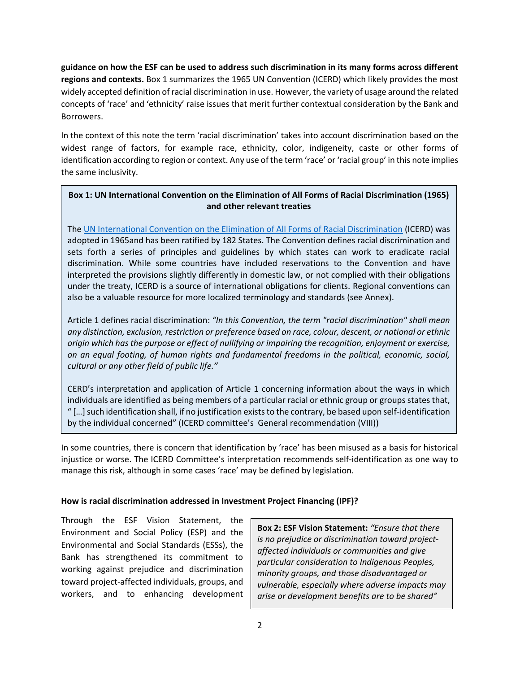**guidance on how the ESF can be used to address such discrimination in its many forms across different regions and contexts.** Box 1 summarizes the 1965 UN Convention (ICERD) which likely provides the most widely accepted definition of racial discrimination in use. However, the variety of usage around the related concepts of 'race' and 'ethnicity' raise issues that merit further contextual consideration by the Bank and Borrowers.

In the context of this note the term 'racial discrimination' takes into account discrimination based on the widest range of factors, for example race, ethnicity, color, indigeneity, caste or other forms of identification according to region or context. Any use of the term 'race' or 'racial group' in this note implies the same inclusivity.

## **Box 1: UN International Convention on the Elimination of All Forms of Racial Discrimination (1965) and other relevant treaties**

Th[e UN International Convention on the Elimination of All Forms of Racial Discrimination](https://www.ohchr.org/en/professionalinterest/pages/cerd.aspx) (ICERD) was adopted in 1965and has been ratified by 182 States. The Convention defines racial discrimination and sets forth a series of principles and guidelines by which states can work to eradicate racial discrimination. While some countries have included reservations to the Convention and have interpreted the provisions slightly differently in domestic law, or not complied with their obligations under the treaty, ICERD is a source of international obligations for clients. Regional conventions can also be a valuable resource for more localized terminology and standards (see Annex).

Article 1 defines racial discrimination: *"In this Convention, the term "racial discrimination" shall mean any distinction, exclusion, restriction or preference based on race, colour, descent, or national or ethnic origin which has the purpose or effect of nullifying or impairing the recognition, enjoyment or exercise, on an equal footing, of human rights and fundamental freedoms in the political, economic, social, cultural or any other field of public life."*

CERD's interpretation and application of Article 1 concerning information about the ways in which individuals are identified as being members of a particular racial or ethnic group or groups states that, " […] such identification shall, if no justification exists to the contrary, be based upon self-identification by the individual concerned" (ICERD committee's General recommendation (VIII))

In some countries, there is concern that identification by 'race' has been misused as a basis for historical injustice or worse. The ICERD Committee's interpretation recommends self-identification as one way to manage this risk, although in some cases 'race' may be defined by legislation.

#### **How is racial discrimination addressed in Investment Project Financing (IPF)?**

Through the ESF Vision Statement, the Environment and Social Policy (ESP) and the Environmental and Social Standards (ESSs), the Bank has strengthened its commitment to working against prejudice and discrimination toward project-affected individuals, groups, and workers, and to enhancing development

**Box 2: ESF Vision Statement:** *"Ensure that there is no prejudice or discrimination toward projectaffected individuals or communities and give particular consideration to Indigenous Peoples, minority groups, and those disadvantaged or vulnerable, especially where adverse impacts may arise or development benefits are to be shared"*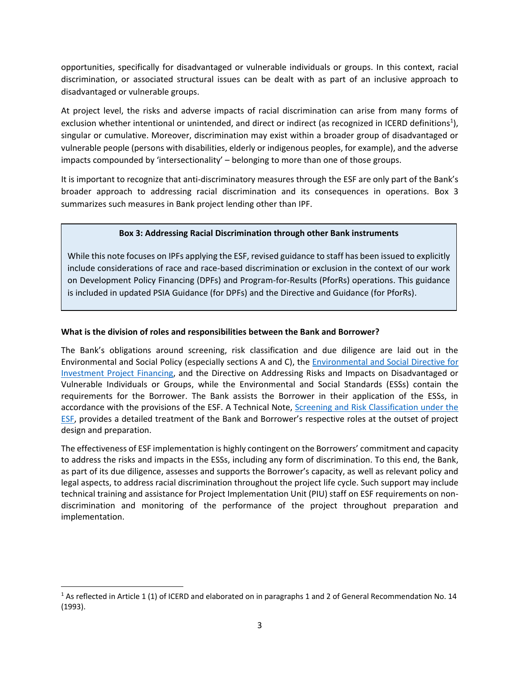opportunities, specifically for disadvantaged or vulnerable individuals or groups. In this context, racial discrimination, or associated structural issues can be dealt with as part of an inclusive approach to disadvantaged or vulnerable groups.

At project level, the risks and adverse impacts of racial discrimination can arise from many forms of exclusion whether intentional or unintended, and direct or indirect (as recognized in ICERD definitions<sup>1</sup>), singular or cumulative. Moreover, discrimination may exist within a broader group of disadvantaged or vulnerable people (persons with disabilities, elderly or indigenous peoples, for example), and the adverse impacts compounded by 'intersectionality' – belonging to more than one of those groups.

It is important to recognize that anti-discriminatory measures through the ESF are only part of the Bank's broader approach to addressing racial discrimination and its consequences in operations*.* Box 3 summarizes such measures in Bank project lending other than IPF.

### **Box 3: Addressing Racial Discrimination through other Bank instruments**

While this note focuses on IPFs applying the ESF, revised guidance to staff has been issued to explicitly include considerations of race and race-based discrimination or exclusion in the context of our work on Development Policy Financing (DPFs) and Program-for-Results (PforRs) operations. This guidance is included in updated PSIA Guidance (for DPFs) and the Directive and Guidance (for PforRs).

### **What is the division of roles and responsibilities between the Bank and Borrower?**

The Bank's obligations around screening, risk classification and due diligence are laid out in the Environmental and Social Policy (especially sections A and C), the [Environmental and Social](https://policies.worldbank.org/sites/ppf3/PPFDocuments/Forms/DispPage.aspx?docid=4299690b-e96c-44a1-9117-8c7bc51dde70&ver=current) Directive for [Investment Project Financing,](https://policies.worldbank.org/sites/ppf3/PPFDocuments/Forms/DispPage.aspx?docid=4299690b-e96c-44a1-9117-8c7bc51dde70&ver=current) and the Directive on Addressing Risks and Impacts on Disadvantaged or Vulnerable Individuals or Groups, while the Environmental and Social Standards (ESSs) contain the requirements for the Borrower. The Bank assists the Borrower in their application of the ESSs, in accordance with the provisions of the ESF. A Technical Note, [Screening and Risk Classification under the](https://wbdocs.worldbank.org/wbdocs/drl/objectId/090224b087eb09bb)  [ESF,](https://wbdocs.worldbank.org/wbdocs/drl/objectId/090224b087eb09bb) provides a detailed treatment of the Bank and Borrower's respective roles at the outset of project design and preparation.

The effectiveness of ESF implementation is highly contingent on the Borrowers' commitment and capacity to address the risks and impacts in the ESSs, including any form of discrimination. To this end, the Bank, as part of its due diligence, assesses and supports the Borrower's capacity, as well as relevant policy and legal aspects, to address racial discrimination throughout the project life cycle. Such support may include technical training and assistance for Project Implementation Unit (PIU) staff on ESF requirements on nondiscrimination and monitoring of the performance of the project throughout preparation and implementation.

<sup>&</sup>lt;sup>1</sup> As reflected in Article 1 (1) of ICERD and elaborated on in paragraphs 1 and 2 of General Recommendation No. 14 (1993).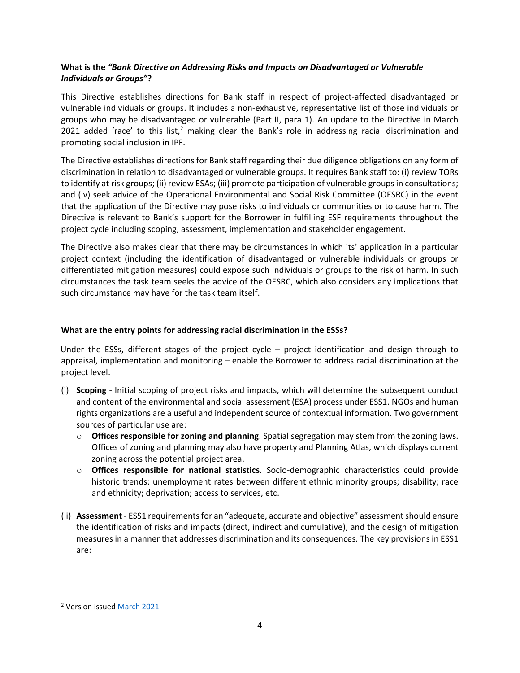## **What is the** *"Bank Directive on Addressing Risks and Impacts on Disadvantaged or Vulnerable Individuals or Groups"***?**

This Directive establishes directions for Bank staff in respect of project-affected disadvantaged or vulnerable individuals or groups. It includes a non-exhaustive, representative list of those individuals or groups who may be disadvantaged or vulnerable (Part II, para 1). An update to the Directive in March 2021 added 'race' to this list,<sup>2</sup> making clear the Bank's role in addressing racial discrimination and promoting social inclusion in IPF.

The Directive establishes directions for Bank staff regarding their due diligence obligations on any form of discrimination in relation to disadvantaged or vulnerable groups. It requires Bank staff to: (i) review TORs to identify at risk groups; (ii) review ESAs; (iii) promote participation of vulnerable groups in consultations; and (iv) seek advice of the Operational Environmental and Social Risk Committee (OESRC) in the event that the application of the Directive may pose risks to individuals or communities or to cause harm. The Directive is relevant to Bank's support for the Borrower in fulfilling ESF requirements throughout the project cycle including scoping, assessment, implementation and stakeholder engagement.

The Directive also makes clear that there may be circumstances in which its' application in a particular project context (including the identification of disadvantaged or vulnerable individuals or groups or differentiated mitigation measures) could expose such individuals or groups to the risk of harm. In such circumstances the task team seeks the advice of the OESRC, which also considers any implications that such circumstance may have for the task team itself.

### **What are the entry points for addressing racial discrimination in the ESSs?**

Under the ESSs, different stages of the project cycle – project identification and design through to appraisal, implementation and monitoring – enable the Borrower to address racial discrimination at the project level.

- (i) **Scoping** Initial scoping of project risks and impacts, which will determine the subsequent conduct and content of the environmental and social assessment (ESA) process under ESS1. NGOs and human rights organizations are a useful and independent source of contextual information. Two government sources of particular use are:
	- o **Offices responsible for zoning and planning**. Spatial segregation may stem from the zoning laws. Offices of zoning and planning may also have property and Planning Atlas, which displays current zoning across the potential project area.
	- o **Offices responsible for national statistics**. Socio-demographic characteristics could provide historic trends: unemployment rates between different ethnic minority groups; disability; race and ethnicity; deprivation; access to services, etc.
- (ii) **Assessment** ESS1 requirements for an "adequate, accurate and objective" assessmentshould ensure the identification of risks and impacts (direct, indirect and cumulative), and the design of mitigation measures in a manner that addresses discrimination and its consequences. The key provisions in ESS1 are:

<sup>2</sup> Version issue[d March](https://policies.worldbank.org/sites/ppf3/PPFDocuments/Forms/DispPage.aspx?docid=e5562765-a553-4ea0-b787-7e1e775f29d5&ver=current) 2021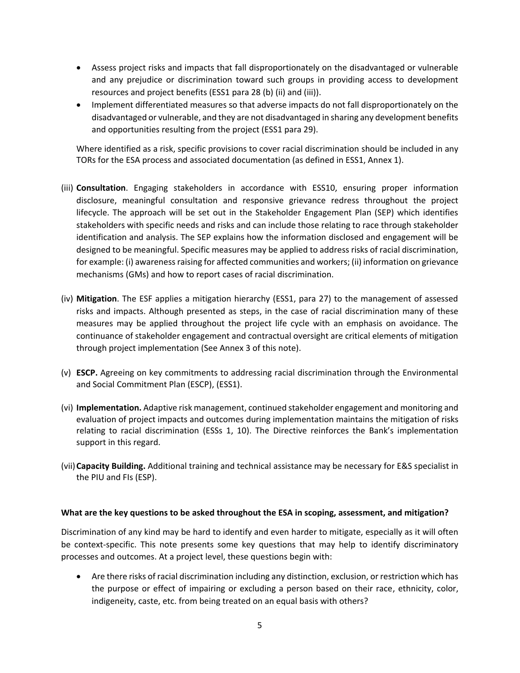- Assess project risks and impacts that fall disproportionately on the disadvantaged or vulnerable and any prejudice or discrimination toward such groups in providing access to development resources and project benefits (ESS1 para 28 (b) (ii) and (iii)).
- Implement differentiated measures so that adverse impacts do not fall disproportionately on the disadvantaged or vulnerable, and they are not disadvantaged in sharing any development benefits and opportunities resulting from the project (ESS1 para 29).

Where identified as a risk, specific provisions to cover racial discrimination should be included in any TORs for the ESA process and associated documentation (as defined in ESS1, Annex 1).

- (iii) **Consultation**. Engaging stakeholders in accordance with ESS10, ensuring proper information disclosure, meaningful consultation and responsive grievance redress throughout the project lifecycle. The approach will be set out in the Stakeholder Engagement Plan (SEP) which identifies stakeholders with specific needs and risks and can include those relating to race through stakeholder identification and analysis. The SEP explains how the information disclosed and engagement will be designed to be meaningful. Specific measures may be applied to address risks of racial discrimination, for example: (i) awareness raising for affected communities and workers; (ii) information on grievance mechanisms (GMs) and how to report cases of racial discrimination.
- (iv) **Mitigation**. The ESF applies a mitigation hierarchy (ESS1, para 27) to the management of assessed risks and impacts. Although presented as steps, in the case of racial discrimination many of these measures may be applied throughout the project life cycle with an emphasis on avoidance. The continuance of stakeholder engagement and contractual oversight are critical elements of mitigation through project implementation (See Annex 3 of this note).
- (v) **ESCP.** Agreeing on key commitments to addressing racial discrimination through the Environmental and Social Commitment Plan (ESCP), (ESS1).
- (vi) **Implementation.** Adaptive risk management, continued stakeholder engagement and monitoring and evaluation of project impacts and outcomes during implementation maintains the mitigation of risks relating to racial discrimination (ESSs 1, 10). The Directive reinforces the Bank's implementation support in this regard.
- (vii)**Capacity Building.** Additional training and technical assistance may be necessary for E&S specialist in the PIU and FIs (ESP).

#### **What are the key questions to be asked throughout the ESA in scoping, assessment, and mitigation?**

Discrimination of any kind may be hard to identify and even harder to mitigate, especially as it will often be context-specific. This note presents some key questions that may help to identify discriminatory processes and outcomes. At a project level, these questions begin with:

• Are there risks of racial discrimination including any distinction, exclusion, or restriction which has the purpose or effect of impairing or excluding a person based on their race, ethnicity, color, indigeneity, caste, etc. from being treated on an equal basis with others?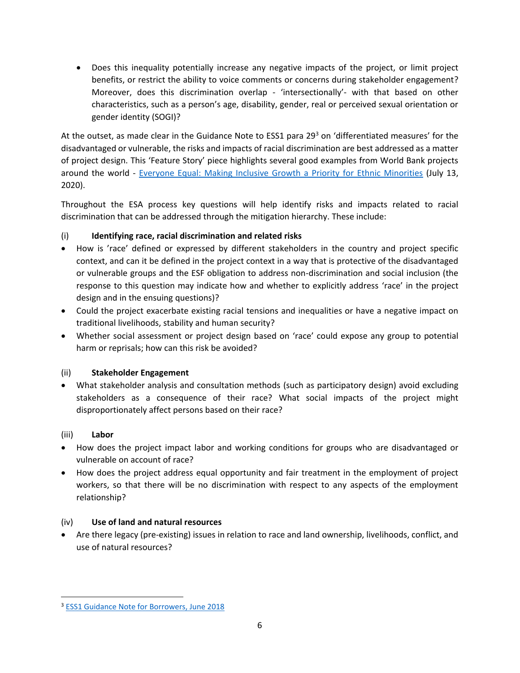• Does this inequality potentially increase any negative impacts of the project, or limit project benefits, or restrict the ability to voice comments or concerns during stakeholder engagement? Moreover, does this discrimination overlap - 'intersectionally'- with that based on other characteristics, such as a person's age, disability, gender, real or perceived sexual orientation or gender identity (SOGI)?

At the outset, as made clear in the Guidance Note to ESS1 para 29<sup>3</sup> on 'differentiated measures' for the disadvantaged or vulnerable, the risks and impacts of racial discrimination are best addressed as a matter of project design. This 'Feature Story' piece highlights several good examples from World Bank projects around the world - [Everyone Equal: Making Inclusive Growth a Priority for Ethnic Minorities](https://www.worldbank.org/en/news/feature/2020/07/13/everyone-equal-making-inclusive-growth-a-priority-for-ethnic-minorities) (July 13, 2020).

Throughout the ESA process key questions will help identify risks and impacts related to racial discrimination that can be addressed through the mitigation hierarchy. These include:

## (i) **Identifying race, racial discrimination and related risks**

- How is 'race' defined or expressed by different stakeholders in the country and project specific context, and can it be defined in the project context in a way that is protective of the disadvantaged or vulnerable groups and the ESF obligation to address non-discrimination and social inclusion (the response to this question may indicate how and whether to explicitly address 'race' in the project design and in the ensuing questions)?
- Could the project exacerbate existing racial tensions and inequalities or have a negative impact on traditional livelihoods, stability and human security?
- Whether social assessment or project design based on 'race' could expose any group to potential harm or reprisals; how can this risk be avoided?

## (ii) **Stakeholder Engagement**

• What stakeholder analysis and consultation methods (such as participatory design) avoid excluding stakeholders as a consequence of their race? What social impacts of the project might disproportionately affect persons based on their race?

## (iii) **Labor**

- How does the project impact labor and working conditions for groups who are disadvantaged or vulnerable on account of race?
- How does the project address equal opportunity and fair treatment in the employment of project workers, so that there will be no discrimination with respect to any aspects of the employment relationship?

## (iv) **Use of land and natural resources**

• Are there legacy (pre-existing) issues in relation to race and land ownership, livelihoods, conflict, and use of natural resources?

<sup>3</sup> [ESS1 Guidance Note for Borrowers, June 2018](http://pubdocs.worldbank.org/en/142691530216729197/ESF-GN1-June-2018.pdf)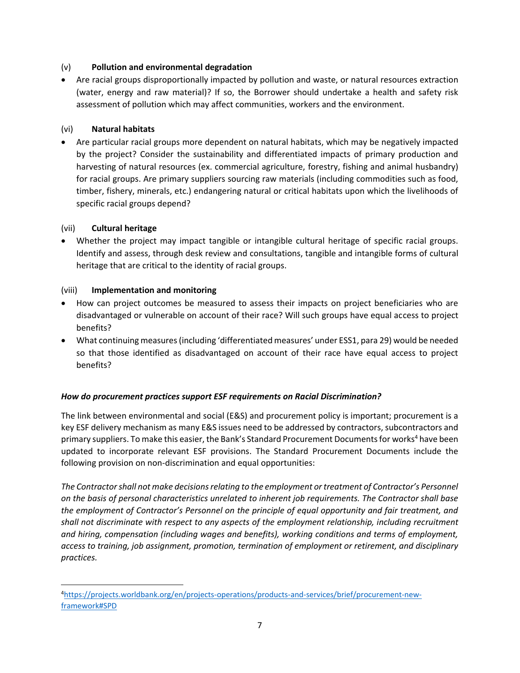### (v) **Pollution and environmental degradation**

• Are racial groups disproportionally impacted by pollution and waste, or natural resources extraction (water, energy and raw material)? If so, the Borrower should undertake a health and safety risk assessment of pollution which may affect communities, workers and the environment.

## (vi) **Natural habitats**

• Are particular racial groups more dependent on natural habitats, which may be negatively impacted by the project? Consider the sustainability and differentiated impacts of primary production and harvesting of natural resources (ex. commercial agriculture, forestry, fishing and animal husbandry) for racial groups. Are primary suppliers sourcing raw materials (including commodities such as food, timber, fishery, minerals, etc.) endangering natural or critical habitats upon which the livelihoods of specific racial groups depend?

### (vii) **Cultural heritage**

• Whether the project may impact tangible or intangible cultural heritage of specific racial groups. Identify and assess, through desk review and consultations, tangible and intangible forms of cultural heritage that are critical to the identity of racial groups.

### (viii) **Implementation and monitoring**

- How can project outcomes be measured to assess their impacts on project beneficiaries who are disadvantaged or vulnerable on account of their race? Will such groups have equal access to project benefits?
- What continuing measures (including 'differentiated measures' under ESS1, para 29) would be needed so that those identified as disadvantaged on account of their race have equal access to project benefits?

#### *How do procurement practices support ESF requirements on Racial Discrimination?*

The link between environmental and social (E&S) and procurement policy is important; procurement is a key ESF delivery mechanism as many E&S issues need to be addressed by contractors, subcontractors and primary suppliers. To make this easier, the Bank's Standard Procurement Documents for works<sup>4</sup> have been updated to incorporate relevant ESF provisions. The Standard Procurement Documents include the following provision on non-discrimination and equal opportunities:

*The Contractor shall not make decisions relating to the employment or treatment of Contractor's Personnel on the basis of personal characteristics unrelated to inherent job requirements. The Contractor shall base the employment of Contractor's Personnel on the principle of equal opportunity and fair treatment, and shall not discriminate with respect to any aspects of the employment relationship, including recruitment and hiring, compensation (including wages and benefits), working conditions and terms of employment, access to training, job assignment, promotion, termination of employment or retirement, and disciplinary practices.* 

<sup>4</sup>[https://projects.worldbank.org/en/projects-operations/products-and-services/brief/procurement-new](https://projects.worldbank.org/en/projects-operations/products-and-services/brief/procurement-new-framework#SPD)[framework#SPD](https://projects.worldbank.org/en/projects-operations/products-and-services/brief/procurement-new-framework#SPD)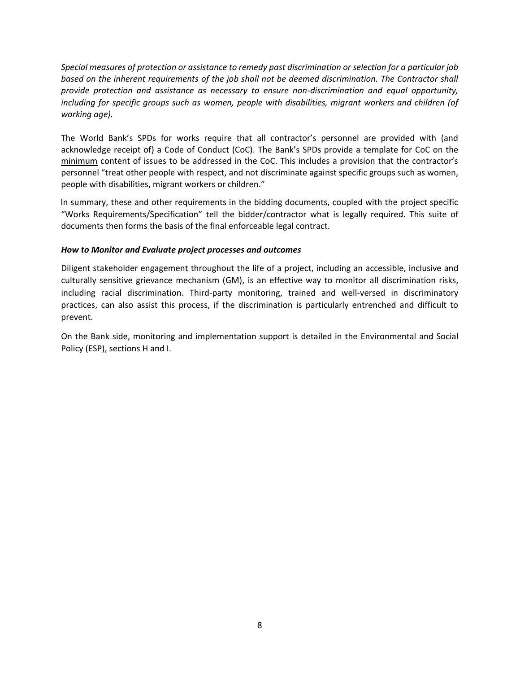*Special measures of protection or assistance to remedy past discrimination or selection for a particular job based on the inherent requirements of the job shall not be deemed discrimination. The Contractor shall provide protection and assistance as necessary to ensure non-discrimination and equal opportunity, including for specific groups such as women, people with disabilities, migrant workers and children (of working age).* 

The World Bank's SPDs for works require that all contractor's personnel are provided with (and acknowledge receipt of) a Code of Conduct (CoC). The Bank's SPDs provide a template for CoC on the minimum content of issues to be addressed in the CoC. This includes a provision that the contractor's personnel "treat other people with respect, and not discriminate against specific groups such as women, people with disabilities, migrant workers or children."

In summary, these and other requirements in the bidding documents, coupled with the project specific "Works Requirements/Specification" tell the bidder/contractor what is legally required. This suite of documents then forms the basis of the final enforceable legal contract.

#### *How to Monitor and Evaluate project processes and outcomes*

Diligent stakeholder engagement throughout the life of a project, including an accessible, inclusive and culturally sensitive grievance mechanism (GM), is an effective way to monitor all discrimination risks, including racial discrimination. Third-party monitoring, trained and well-versed in discriminatory practices, can also assist this process, if the discrimination is particularly entrenched and difficult to prevent.

On the Bank side, monitoring and implementation support is detailed in the Environmental and Social Policy (ESP), sections H and I.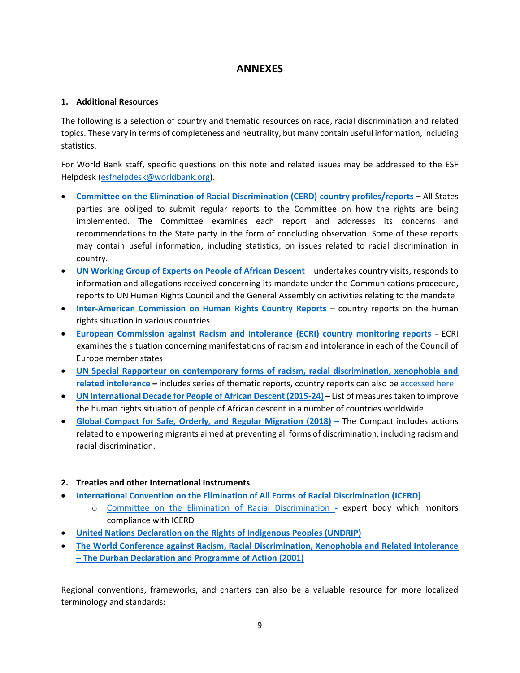# **ANNEXES**

#### **1. Additional Resources**

The following is a selection of country and thematic resources on race, racial discrimination and related topics. These vary in terms of completeness and neutrality, but many contain useful information, including statistics.

For World Bank staff, specific questions on this note and related issues may be addressed to the ESF Helpdesk [\(esfhelpdesk@worldbank.org\)](mailto:esfhelpdesk@worldbank.org).

- **[Committee on the Elimination of Racial Discrimination \(CERD\)](https://www.ohchr.org/en/hrbodies/cerd/pages/cerdindex.aspx) country profiles/reports –** All States parties are obliged to submit regular reports to the Committee on how the rights are being implemented. The Committee examines each report and addresses its concerns and recommendations to the State party in the form of concluding observation. Some of these reports may contain useful information, including statistics, on issues related to racial discrimination in country.
- **[UN Working Group of Experts on People of African Descent](https://www.ohchr.org/EN/Issues/Racism/WGAfricanDescent/Pages/WGEPADIndex.aspx)** undertakes country visits, responds to information and allegations received concerning its mandate under the Communications procedure, reports to UN Human Rights Council and the General Assembly on activities relating to the mandate
- **[Inter-American Commission on Human Rights Country Reports](http://www.oas.org/en/iachr/reports/country.asp)** country reports on the human rights situation in various countries
- **[European Commission against Racism and Intolerance \(ECRI\) country monitoring reports](https://www.coe.int/en/web/european-commission-against-racism-and-intolerance/country-monitoring)** *-* ECRI examines the situation concerning manifestations of racism and intolerance in each of the Council of Europe member states
- **[UN Special Rapporteur on contemporary forms of racism, racial discrimination, xenophobia and](https://www.ohchr.org/en/issues/racism/srracism/pages/indexsrracism.aspx)  [related intolerance](https://www.ohchr.org/en/issues/racism/srracism/pages/indexsrracism.aspx) –** includes series of thematic reports, country reports can also be [accessed here](https://www.ohchr.org/EN/Issues/Racism/SRRacism/Pages/CountryVisits.aspx)
- **[UN International Decade for People of African Descent \(2015-24\)](https://www.un.org/en/observances/decade-people-african-descent/actions-taken)** List of measures taken to improve the human rights situation of people of African descent in a number of countries worldwide
- **Global Compact for Safe, Orderly, and Regular Migration (2018)** The Compact includes actions related to empowering migrants aimed at preventing all forms of discrimination, including racism and racial discrimination.
- **2. Treaties and other International Instruments**
- **[International Convention on the Elimination of All Forms of Racial Discrimination \(ICERD\)](https://www.ohchr.org/en/professionalinterest/pages/cerd.aspx)**
	- o [Committee on the Elimination of Racial Discrimination](https://www.ohchr.org/en/hrbodies/cerd/pages/cerdindex.aspx) **-** expert body which monitors compliance with ICERD
- **[United Nations Declaration on the Rights of Indigenous Peoples \(UNDRIP\)](https://www.un.org/development/desa/indigenouspeoples/declaration-on-the-rights-of-indigenous-peoples.html)**
- **[The World Conference against Racism, Racial Discrimination, Xenophobia and Related Intolerance](https://www.un.org/en/durbanreview2009/ddpa.shtml)  – [The Durban Declaration and Programme of Action \(2001\)](https://www.un.org/en/durbanreview2009/ddpa.shtml)**

Regional conventions, frameworks, and charters can also be a valuable resource for more localized terminology and standards: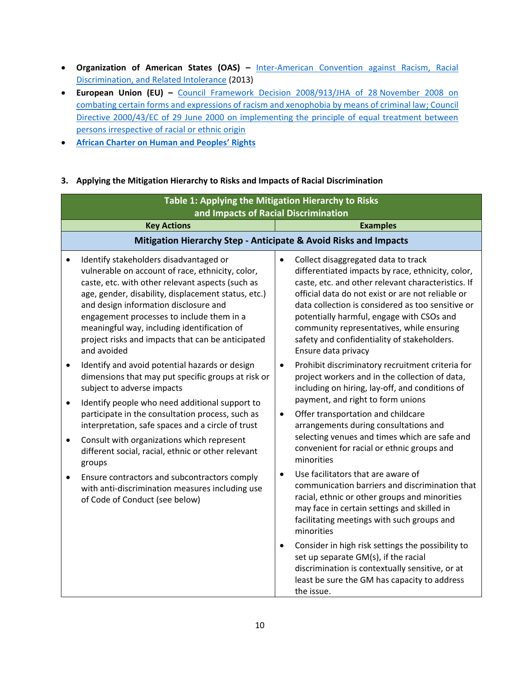- **Organization of American States (OAS) –** [Inter-American Convention against Racism, Racial](http://www.oas.org/en/sla/dil/inter_american_treaties_A-68_racism.asp)  [Discrimination, and Related Intolerance](http://www.oas.org/en/sla/dil/inter_american_treaties_A-68_racism.asp) (2013)
- **European Union (EU) –** [Council Framework Decision 2008/913/JHA of 28](https://eur-lex.europa.eu/legal-content/EN/TXT/?uri=celex%3A32008F0913) November 2008 on [combating certain forms and expressions of racism and xenophobia by means of criminal law;](https://eur-lex.europa.eu/legal-content/EN/TXT/?uri=celex%3A32008F0913) [Council](https://eur-lex.europa.eu/LexUriServ/LexUriServ.do?uri=CELEX:32000L0043:en:HTML)  [Directive 2000/43/EC of 29 June 2000 on implementing the principle of equal treatment between](https://eur-lex.europa.eu/LexUriServ/LexUriServ.do?uri=CELEX:32000L0043:en:HTML)  [persons irrespective of racial or ethnic origin](https://eur-lex.europa.eu/LexUriServ/LexUriServ.do?uri=CELEX:32000L0043:en:HTML)
- **[African Charter on Human and Peoples](https://www.achpr.org/legalinstruments/detail?id=49)' Rights**

### **3. Applying the Mitigation Hierarchy to Risks and Impacts of Racial Discrimination**

|                        | Table 1: Applying the Mitigation Hierarchy to Risks<br>and Impacts of Racial Discrimination                                                                                                                                                                                                                                                                                                                    |                                                                                                                                                                                                                                                                                                                                                                                                                          |  |  |  |
|------------------------|----------------------------------------------------------------------------------------------------------------------------------------------------------------------------------------------------------------------------------------------------------------------------------------------------------------------------------------------------------------------------------------------------------------|--------------------------------------------------------------------------------------------------------------------------------------------------------------------------------------------------------------------------------------------------------------------------------------------------------------------------------------------------------------------------------------------------------------------------|--|--|--|
|                        | <b>Key Actions</b>                                                                                                                                                                                                                                                                                                                                                                                             | <b>Examples</b>                                                                                                                                                                                                                                                                                                                                                                                                          |  |  |  |
|                        | Mitigation Hierarchy Step - Anticipate & Avoid Risks and Impacts                                                                                                                                                                                                                                                                                                                                               |                                                                                                                                                                                                                                                                                                                                                                                                                          |  |  |  |
|                        | Identify stakeholders disadvantaged or<br>vulnerable on account of race, ethnicity, color,<br>caste, etc. with other relevant aspects (such as<br>age, gender, disability, displacement status, etc.)<br>and design information disclosure and<br>engagement processes to include them in a<br>meaningful way, including identification of<br>project risks and impacts that can be anticipated<br>and avoided | Collect disaggregated data to track<br>differentiated impacts by race, ethnicity, color,<br>caste, etc. and other relevant characteristics. If<br>official data do not exist or are not reliable or<br>data collection is considered as too sensitive or<br>potentially harmful, engage with CSOs and<br>community representatives, while ensuring<br>safety and confidentiality of stakeholders.<br>Ensure data privacy |  |  |  |
| $\bullet$              | Identify and avoid potential hazards or design<br>dimensions that may put specific groups at risk or<br>subject to adverse impacts                                                                                                                                                                                                                                                                             | Prohibit discriminatory recruitment criteria for<br>$\bullet$<br>project workers and in the collection of data,<br>including on hiring, lay-off, and conditions of<br>payment, and right to form unions                                                                                                                                                                                                                  |  |  |  |
| $\bullet$<br>$\bullet$ | Identify people who need additional support to<br>participate in the consultation process, such as<br>interpretation, safe spaces and a circle of trust<br>Consult with organizations which represent<br>different social, racial, ethnic or other relevant                                                                                                                                                    | Offer transportation and childcare<br>$\bullet$<br>arrangements during consultations and<br>selecting venues and times which are safe and<br>convenient for racial or ethnic groups and<br>minorities                                                                                                                                                                                                                    |  |  |  |
| ٠                      | groups<br>Ensure contractors and subcontractors comply<br>with anti-discrimination measures including use<br>of Code of Conduct (see below)                                                                                                                                                                                                                                                                    | Use facilitators that are aware of<br>communication barriers and discrimination that<br>racial, ethnic or other groups and minorities<br>may face in certain settings and skilled in<br>facilitating meetings with such groups and<br>minorities                                                                                                                                                                         |  |  |  |
|                        |                                                                                                                                                                                                                                                                                                                                                                                                                | Consider in high risk settings the possibility to<br>$\bullet$<br>set up separate GM(s), if the racial<br>discrimination is contextually sensitive, or at<br>least be sure the GM has capacity to address<br>the issue.                                                                                                                                                                                                  |  |  |  |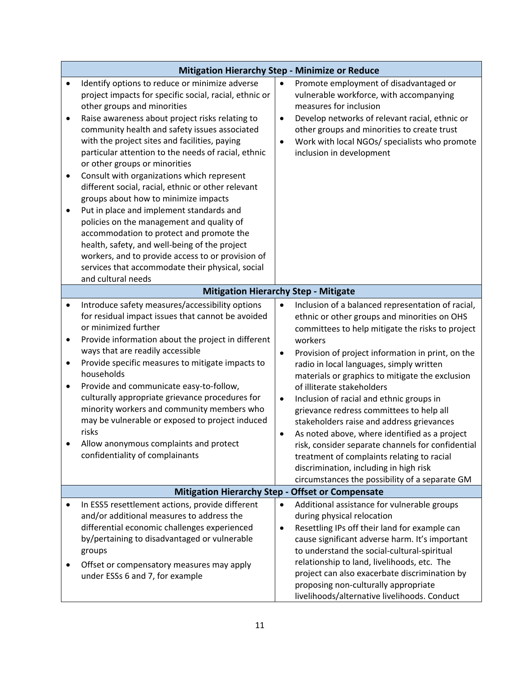|                                                  | <b>Mitigation Hierarchy Step - Minimize or Reduce</b>                                                                                                                                                                                                                                                                                                                                                                                                                                                                                                                                                                                                                                                                                                                                                                                                 |                                                                                                                                                                                                                                                                                                                                                                                                                                                                                                                                                                                                                                                                                                                                                                        |  |  |  |
|--------------------------------------------------|-------------------------------------------------------------------------------------------------------------------------------------------------------------------------------------------------------------------------------------------------------------------------------------------------------------------------------------------------------------------------------------------------------------------------------------------------------------------------------------------------------------------------------------------------------------------------------------------------------------------------------------------------------------------------------------------------------------------------------------------------------------------------------------------------------------------------------------------------------|------------------------------------------------------------------------------------------------------------------------------------------------------------------------------------------------------------------------------------------------------------------------------------------------------------------------------------------------------------------------------------------------------------------------------------------------------------------------------------------------------------------------------------------------------------------------------------------------------------------------------------------------------------------------------------------------------------------------------------------------------------------------|--|--|--|
| $\bullet$<br>$\bullet$<br>$\bullet$<br>$\bullet$ | Identify options to reduce or minimize adverse<br>project impacts for specific social, racial, ethnic or<br>other groups and minorities<br>Raise awareness about project risks relating to<br>community health and safety issues associated<br>with the project sites and facilities, paying<br>particular attention to the needs of racial, ethnic<br>or other groups or minorities<br>Consult with organizations which represent<br>different social, racial, ethnic or other relevant<br>groups about how to minimize impacts<br>Put in place and implement standards and<br>policies on the management and quality of<br>accommodation to protect and promote the<br>health, safety, and well-being of the project<br>workers, and to provide access to or provision of<br>services that accommodate their physical, social<br>and cultural needs | Promote employment of disadvantaged or<br>$\bullet$<br>vulnerable workforce, with accompanying<br>measures for inclusion<br>Develop networks of relevant racial, ethnic or<br>$\bullet$<br>other groups and minorities to create trust<br>Work with local NGOs/ specialists who promote<br>$\bullet$<br>inclusion in development                                                                                                                                                                                                                                                                                                                                                                                                                                       |  |  |  |
|                                                  | <b>Mitigation Hierarchy Step - Mitigate</b>                                                                                                                                                                                                                                                                                                                                                                                                                                                                                                                                                                                                                                                                                                                                                                                                           |                                                                                                                                                                                                                                                                                                                                                                                                                                                                                                                                                                                                                                                                                                                                                                        |  |  |  |
| ٠<br>$\bullet$<br>٠<br>$\bullet$                 | Introduce safety measures/accessibility options<br>for residual impact issues that cannot be avoided<br>or minimized further<br>Provide information about the project in different<br>ways that are readily accessible<br>Provide specific measures to mitigate impacts to<br>households<br>Provide and communicate easy-to-follow,<br>culturally appropriate grievance procedures for<br>minority workers and community members who<br>may be vulnerable or exposed to project induced<br>risks<br>Allow anonymous complaints and protect<br>confidentiality of complainants                                                                                                                                                                                                                                                                         | Inclusion of a balanced representation of racial,<br>ethnic or other groups and minorities on OHS<br>committees to help mitigate the risks to project<br>workers<br>Provision of project information in print, on the<br>$\bullet$<br>radio in local languages, simply written<br>materials or graphics to mitigate the exclusion<br>of illiterate stakeholders<br>Inclusion of racial and ethnic groups in<br>$\bullet$<br>grievance redress committees to help all<br>stakeholders raise and address grievances<br>As noted above, where identified as a project<br>٠<br>risk, consider separate channels for confidential<br>treatment of complaints relating to racial<br>discrimination, including in high risk<br>circumstances the possibility of a separate GM |  |  |  |
|                                                  | <b>Mitigation Hierarchy Step -</b>                                                                                                                                                                                                                                                                                                                                                                                                                                                                                                                                                                                                                                                                                                                                                                                                                    | <b>Offset or Compensate</b>                                                                                                                                                                                                                                                                                                                                                                                                                                                                                                                                                                                                                                                                                                                                            |  |  |  |
| ٠                                                | In ESS5 resettlement actions, provide different<br>and/or additional measures to address the<br>differential economic challenges experienced<br>by/pertaining to disadvantaged or vulnerable<br>groups<br>Offset or compensatory measures may apply<br>under ESSs 6 and 7, for example                                                                                                                                                                                                                                                                                                                                                                                                                                                                                                                                                                | Additional assistance for vulnerable groups<br>$\bullet$<br>during physical relocation<br>Resettling IPs off their land for example can<br>$\bullet$<br>cause significant adverse harm. It's important<br>to understand the social-cultural-spiritual<br>relationship to land, livelihoods, etc. The<br>project can also exacerbate discrimination by<br>proposing non-culturally appropriate<br>livelihoods/alternative livelihoods. Conduct                                                                                                                                                                                                                                                                                                                          |  |  |  |